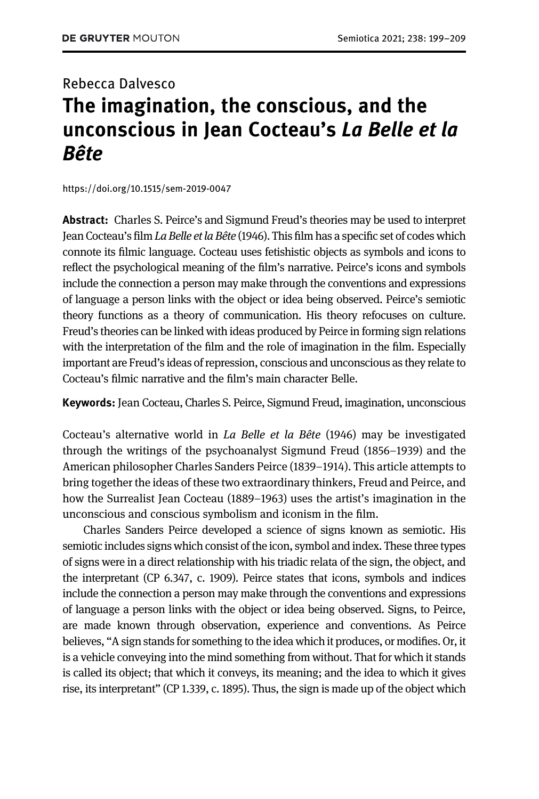## Rebecca Dalvesco The imagination, the conscious, and the unconscious in Jean Cocteau's La Belle et la Bête

<https://doi.org/10.1515/sem-2019-0047>

Abstract: Charles S. Peirce's and Sigmund Freud's theories may be used to interpret Jean Cocteau's film La Belle et la Bête (1946). This film has a specific set of codes which connote its filmic language. Cocteau uses fetishistic objects as symbols and icons to reflect the psychological meaning of the film's narrative. Peirce's icons and symbols include the connection a person may make through the conventions and expressions of language a person links with the object or idea being observed. Peirce's semiotic theory functions as a theory of communication. His theory refocuses on culture. Freud's theories can be linked with ideas produced by Peirce in forming sign relations with the interpretation of the film and the role of imagination in the film. Especially important are Freud's ideas of repression, conscious and unconscious as they relate to Cocteau's filmic narrative and the film's main character Belle.

Keywords: Jean Cocteau, Charles S. Peirce, Sigmund Freud, imagination, unconscious

Cocteau's alternative world in La Belle et la Bête (1946) may be investigated through the writings of the psychoanalyst Sigmund Freud (1856–1939) and the American philosopher Charles Sanders Peirce (1839–1914). This article attempts to bring together the ideas of these two extraordinary thinkers, Freud and Peirce, and how the Surrealist Jean Cocteau (1889–1963) uses the artist's imagination in the unconscious and conscious symbolism and iconism in the film.

Charles Sanders Peirce developed a science of signs known as semiotic. His semiotic includes signs which consist of the icon, symbol and index. These three types of signs were in a direct relationship with his triadic relata of the sign, the object, and the interpretant (CP 6.347, c. 1909). Peirce states that icons, symbols and indices include the connection a person may make through the conventions and expressions of language a person links with the object or idea being observed. Signs, to Peirce, are made known through observation, experience and conventions. As Peirce believes, "A sign stands for something to the idea which it produces, or modifies. Or, it is a vehicle conveying into the mind something from without. That for which it stands is called its object; that which it conveys, its meaning; and the idea to which it gives rise, its interpretant" (CP 1.339, c. 1895). Thus, the sign is made up of the object which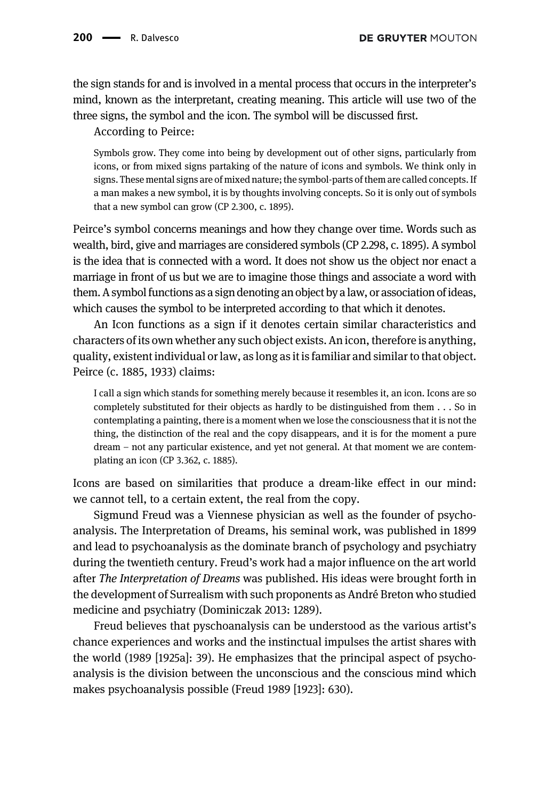the sign stands for and is involved in a mental process that occurs in the interpreter's mind, known as the interpretant, creating meaning. This article will use two of the three signs, the symbol and the icon. The symbol will be discussed first.

According to Peirce:

Symbols grow. They come into being by development out of other signs, particularly from icons, or from mixed signs partaking of the nature of icons and symbols. We think only in signs. These mental signs are of mixed nature; the symbol-parts of them are called concepts. If a man makes a new symbol, it is by thoughts involving concepts. So it is only out of symbols that a new symbol can grow (CP 2.300, c. 1895).

Peirce's symbol concerns meanings and how they change over time. Words such as wealth, bird, give and marriages are considered symbols (CP 2.298, c. 1895). A symbol is the idea that is connected with a word. It does not show us the object nor enact a marriage in front of us but we are to imagine those things and associate a word with them. A symbol functions as a sign denoting an object by alaw, or association of ideas, which causes the symbol to be interpreted according to that which it denotes.

An Icon functions as a sign if it denotes certain similar characteristics and characters of its own whether any such object exists. An icon, therefore is anything, quality, existent individual or law, as long as it is familiar and similar to that object. Peirce (c. 1885, 1933) claims:

I call a sign which stands for something merely because it resembles it, an icon. Icons are so completely substituted for their objects as hardly to be distinguished from them . . . So in contemplating a painting, there is a moment when we lose the consciousness that it is not the thing, the distinction of the real and the copy disappears, and it is for the moment a pure dream – not any particular existence, and yet not general. At that moment we are contemplating an icon (CP 3.362, c. 1885).

Icons are based on similarities that produce a dream-like effect in our mind: we cannot tell, to a certain extent, the real from the copy.

Sigmund Freud was a Viennese physician as well as the founder of psychoanalysis. The Interpretation of Dreams, his seminal work, was published in 1899 and lead to psychoanalysis as the dominate branch of psychology and psychiatry during the twentieth century. Freud's work had a major influence on the art world after The Interpretation of Dreams was published. His ideas were brought forth in the development of Surrealism with such proponents as André Breton who studied medicine and psychiatry [\(Dominiczak 2013:](#page-10-0) 1289).

Freud believes that pyschoanalysis can be understood as the various artist's chance experiences and works and the instinctual impulses the artist shares with the world ([1989 \[1925a\]](#page-10-1): 39). He emphasizes that the principal aspect of psychoanalysis is the division between the unconscious and the conscious mind which makes psychoanalysis possible ([Freud 1989 \[1923\]](#page-10-2): 630).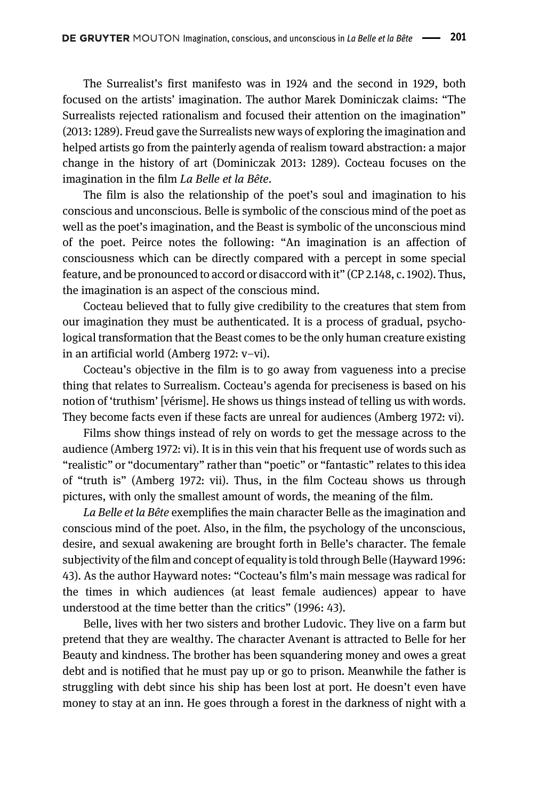The Surrealist's first manifesto was in 1924 and the second in 1929, both focused on the artists' imagination. The author Marek Dominiczak claims: "The Surrealists rejected rationalism and focused their attention on the imagination" (2013: 1289). Freud gave the Surrealists new ways of exploring the imagination and helped artists go from the painterly agenda of realism toward abstraction: a major change in the history of art [\(Dominiczak 2013:](#page-10-0) 1289). Cocteau focuses on the imagination in the film La Belle et la Bête.

The film is also the relationship of the poet's soul and imagination to his conscious and unconscious. Belle is symbolic of the conscious mind of the poet as well as the poet's imagination, and the Beast is symbolic of the unconscious mind of the poet. Peirce notes the following: "An imagination is an affection of consciousness which can be directly compared with a percept in some special feature, and be pronounced to accord or disaccord with it" (CP 2.148, c. 1902). Thus, the imagination is an aspect of the conscious mind.

Cocteau believed that to fully give credibility to the creatures that stem from our imagination they must be authenticated. It is a process of gradual, psychological transformation that the Beast comes to be the only human creature existing in an artificial world ([Amberg 1972:](#page-10-3) v–vi).

Cocteau's objective in the film is to go away from vagueness into a precise thing that relates to Surrealism. Cocteau's agenda for preciseness is based on his notion of 'truthism' [vérisme]. He shows us things instead of telling us with words. They become facts even if these facts are unreal for audiences [\(Amberg 1972](#page-10-3): vi).

Films show things instead of rely on words to get the message across to the audience [\(Amberg 1972:](#page-10-3) vi). It is in this vein that his frequent use of words such as "realistic" or "documentary" rather than "poetic" or "fantastic" relates to this idea of "truth is" [\(Amberg 1972:](#page-10-3) vii). Thus, in the film Cocteau shows us through pictures, with only the smallest amount of words, the meaning of the film.

La Belle et la Bête exemplifies the main character Belle as the imagination and conscious mind of the poet. Also, in the film, the psychology of the unconscious, desire, and sexual awakening are brought forth in Belle's character. The female subjectivity of the film and concept of equality is told through Belle [\(Hayward 1996:](#page-10-4) 43). As the author Hayward notes: "Cocteau's film's main message was radical for the times in which audiences (at least female audiences) appear to have understood at the time better than the critics" (1996: 43).

Belle, lives with her two sisters and brother Ludovic. They live on a farm but pretend that they are wealthy. The character Avenant is attracted to Belle for her Beauty and kindness. The brother has been squandering money and owes a great debt and is notified that he must pay up or go to prison. Meanwhile the father is struggling with debt since his ship has been lost at port. He doesn't even have money to stay at an inn. He goes through a forest in the darkness of night with a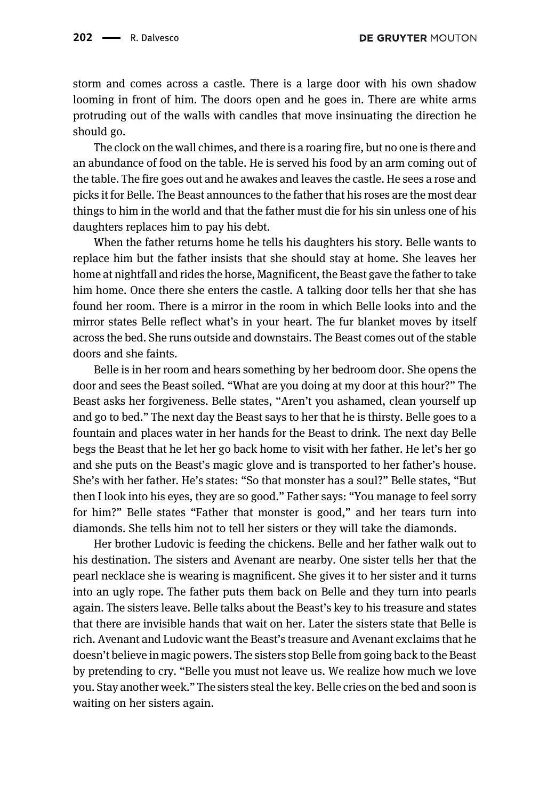storm and comes across a castle. There is a large door with his own shadow looming in front of him. The doors open and he goes in. There are white arms protruding out of the walls with candles that move insinuating the direction he should go.

The clock on the wall chimes, and there is a roaring fire, but no one is there and an abundance of food on the table. He is served his food by an arm coming out of the table. The fire goes out and he awakes and leaves the castle. He sees a rose and picks it for Belle. The Beast announces to the father that his roses are the most dear things to him in the world and that the father must die for his sin unless one of his daughters replaces him to pay his debt.

When the father returns home he tells his daughters his story. Belle wants to replace him but the father insists that she should stay at home. She leaves her home at nightfall and rides the horse, Magnificent, the Beast gave the father to take him home. Once there she enters the castle. A talking door tells her that she has found her room. There is a mirror in the room in which Belle looks into and the mirror states Belle reflect what's in your heart. The fur blanket moves by itself across the bed. She runs outside and downstairs. The Beast comes out of the stable doors and she faints.

Belle is in her room and hears something by her bedroom door. She opens the door and sees the Beast soiled. "What are you doing at my door at this hour?" The Beast asks her forgiveness. Belle states, "Aren't you ashamed, clean yourself up and go to bed." The next day the Beast says to her that he is thirsty. Belle goes to a fountain and places water in her hands for the Beast to drink. The next day Belle begs the Beast that he let her go back home to visit with her father. He let's her go and she puts on the Beast's magic glove and is transported to her father's house. She's with her father. He's states: "So that monster has a soul?" Belle states, "But then I look into his eyes, they are so good." Father says: "You manage to feel sorry for him?" Belle states "Father that monster is good," and her tears turn into diamonds. She tells him not to tell her sisters or they will take the diamonds.

Her brother Ludovic is feeding the chickens. Belle and her father walk out to his destination. The sisters and Avenant are nearby. One sister tells her that the pearl necklace she is wearing is magnificent. She gives it to her sister and it turns into an ugly rope. The father puts them back on Belle and they turn into pearls again. The sisters leave. Belle talks about the Beast's key to his treasure and states that there are invisible hands that wait on her. Later the sisters state that Belle is rich. Avenant and Ludovic want the Beast's treasure and Avenant exclaims that he doesn't believe in magic powers. The sisters stop Belle from going back to the Beast by pretending to cry. "Belle you must not leave us. We realize how much we love you. Stay another week." The sisters steal the key. Belle cries on the bed and soon is waiting on her sisters again.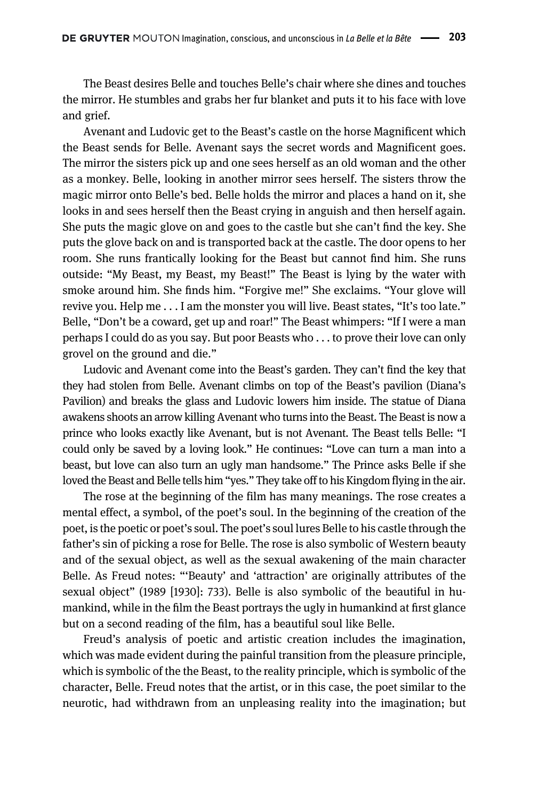The Beast desires Belle and touches Belle's chair where she dines and touches the mirror. He stumbles and grabs her fur blanket and puts it to his face with love and grief.

Avenant and Ludovic get to the Beast's castle on the horse Magnificent which the Beast sends for Belle. Avenant says the secret words and Magnificent goes. The mirror the sisters pick up and one sees herself as an old woman and the other as a monkey. Belle, looking in another mirror sees herself. The sisters throw the magic mirror onto Belle's bed. Belle holds the mirror and places a hand on it, she looks in and sees herself then the Beast crying in anguish and then herself again. She puts the magic glove on and goes to the castle but she can't find the key. She puts the glove back on and is transported back at the castle. The door opens to her room. She runs frantically looking for the Beast but cannot find him. She runs outside: "My Beast, my Beast, my Beast!" The Beast is lying by the water with smoke around him. She finds him. "Forgive me!" She exclaims. "Your glove will revive you. Help me . . . I am the monster you will live. Beast states, "It's too late." Belle, "Don't be a coward, get up and roar!" The Beast whimpers: "If I were a man perhaps I could do as you say. But poor Beasts who . . . to prove their love can only grovel on the ground and die."

Ludovic and Avenant come into the Beast's garden. They can't find the key that they had stolen from Belle. Avenant climbs on top of the Beast's pavilion (Diana's Pavilion) and breaks the glass and Ludovic lowers him inside. The statue of Diana awakens shoots an arrow killing Avenant who turns into the Beast. The Beast is now a prince who looks exactly like Avenant, but is not Avenant. The Beast tells Belle: "I could only be saved by a loving look." He continues: "Love can turn a man into a beast, but love can also turn an ugly man handsome." The Prince asks Belle if she loved the Beast and Belle tells him "yes." They take off to his Kingdom flying in the air.

The rose at the beginning of the film has many meanings. The rose creates a mental effect, a symbol, of the poet's soul. In the beginning of the creation of the poet, is the poetic or poet's soul. The poet's soul lures Belle to his castle through the father's sin of picking a rose for Belle. The rose is also symbolic of Western beauty and of the sexual object, as well as the sexual awakening of the main character Belle. As Freud notes: "'Beauty' and 'attraction' are originally attributes of the sexual object" ([1989 \[1930\]:](#page-10-5) 733). Belle is also symbolic of the beautiful in humankind, while in the film the Beast portrays the ugly in humankind at first glance but on a second reading of the film, has a beautiful soul like Belle.

Freud's analysis of poetic and artistic creation includes the imagination, which was made evident during the painful transition from the pleasure principle, which is symbolic of the the Beast, to the reality principle, which is symbolic of the character, Belle. Freud notes that the artist, or in this case, the poet similar to the neurotic, had withdrawn from an unpleasing reality into the imagination; but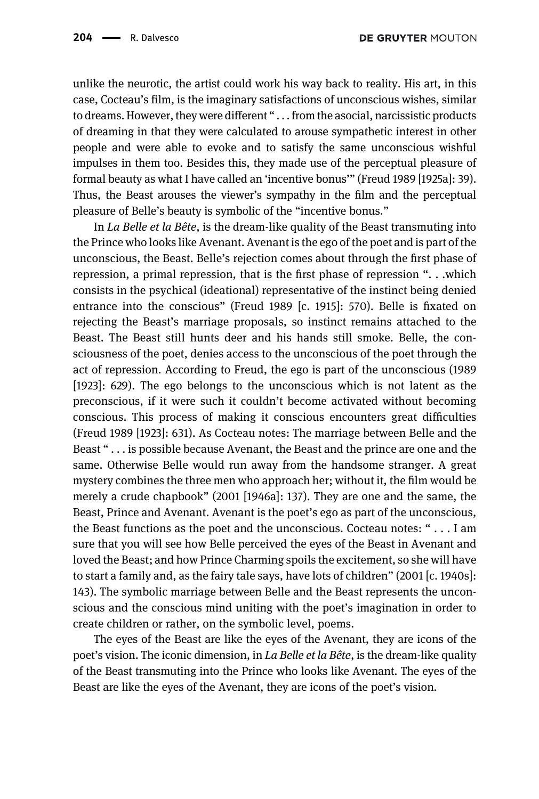unlike the neurotic, the artist could work his way back to reality. His art, in this case, Cocteau's film, is the imaginary satisfactions of unconscious wishes, similar to dreams. However, they were different " . . . from the asocial, narcissistic products of dreaming in that they were calculated to arouse sympathetic interest in other people and were able to evoke and to satisfy the same unconscious wishful impulses in them too. Besides this, they made use of the perceptual pleasure of formal beauty as what I have called an 'incentive bonus'" [\(Freud 1989 \[1925a\]:](#page-10-1) 39). Thus, the Beast arouses the viewer's sympathy in the film and the perceptual pleasure of Belle's beauty is symbolic of the "incentive bonus."

In La Belle et la Bête, is the dream-like quality of the Beast transmuting into the Prince who looks like Avenant. Avenant is the ego of the poet and is part of the unconscious, the Beast. Belle's rejection comes about through the first phase of repression, a primal repression, that is the first phase of repression ". . .which consists in the psychical (ideational) representative of the instinct being denied entrance into the conscious" ([Freud 1989 \[c. 1915\]](#page-10-6): 570). Belle is fixated on rejecting the Beast's marriage proposals, so instinct remains attached to the Beast. The Beast still hunts deer and his hands still smoke. Belle, the consciousness of the poet, denies access to the unconscious of the poet through the act of repression. According to Freud, the ego is part of the unconscious [\(1989](#page-10-2) [\[1923\]](#page-10-2): 629). The ego belongs to the unconscious which is not latent as the preconscious, if it were such it couldn't become activated without becoming conscious. This process of making it conscious encounters great difficulties ([Freud 1989 \[1923\]:](#page-10-2) 631). As Cocteau notes: The marriage between Belle and the Beast " . . . is possible because Avenant, the Beast and the prince are one and the same. Otherwise Belle would run away from the handsome stranger. A great mystery combines the three men who approach her; without it, the film would be merely a crude chapbook" [\(2001 \[1946a\]](#page-10-7): 137). They are one and the same, the Beast, Prince and Avenant. Avenant is the poet's ego as part of the unconscious, the Beast functions as the poet and the unconscious. Cocteau notes: " . . . I am sure that you will see how Belle perceived the eyes of the Beast in Avenant and loved the Beast; and how Prince Charming spoils the excitement, so she will have to start a family and, as the fairy tale says, have lots of children" ([2001 \[c. 1940s\]:](#page-10-8) 143). The symbolic marriage between Belle and the Beast represents the unconscious and the conscious mind uniting with the poet's imagination in order to create children or rather, on the symbolic level, poems.

The eyes of the Beast are like the eyes of the Avenant, they are icons of the poet's vision. The iconic dimension, in La Belle et la Bête, is the dream-like quality of the Beast transmuting into the Prince who looks like Avenant. The eyes of the Beast are like the eyes of the Avenant, they are icons of the poet's vision.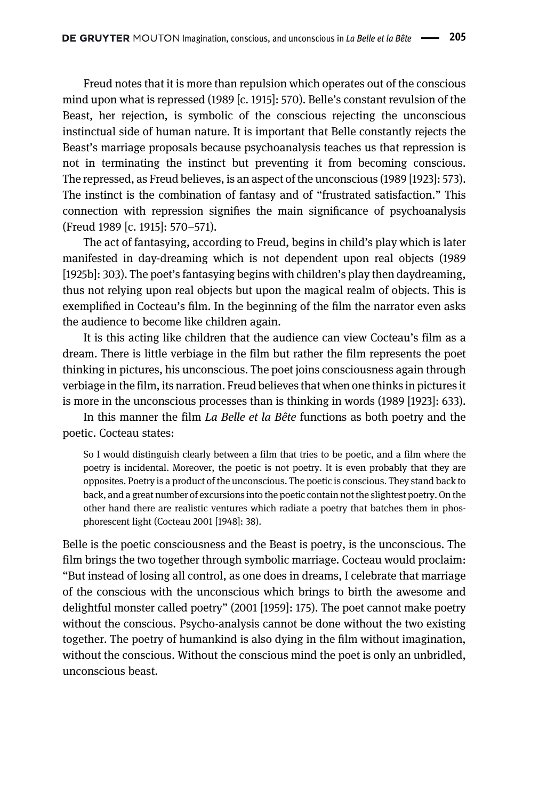Freud notes that it is more than repulsion which operates out of the conscious mind upon what is repressed [\(1989 \[c. 1915\]:](#page-10-6) 570). Belle's constant revulsion of the Beast, her rejection, is symbolic of the conscious rejecting the unconscious instinctual side of human nature. It is important that Belle constantly rejects the Beast's marriage proposals because psychoanalysis teaches us that repression is not in terminating the instinct but preventing it from becoming conscious. The repressed, as Freud believes, is an aspect of the unconscious ([1989 \[1923\]](#page-10-2): 573). The instinct is the combination of fantasy and of "frustrated satisfaction." This connection with repression signifies the main significance of psychoanalysis [\(Freud 1989 \[c. 1915\]](#page-10-6): 570–571).

The act of fantasying, according to Freud, begins in child's play which is later manifested in day-dreaming which is not dependent upon real objects [\(1989](#page-10-9) [\[1925b\]](#page-10-9): 303). The poet's fantasying begins with children's play then daydreaming, thus not relying upon real objects but upon the magical realm of objects. This is exemplified in Cocteau's film. In the beginning of the film the narrator even asks the audience to become like children again.

It is this acting like children that the audience can view Cocteau's film as a dream. There is little verbiage in the film but rather the film represents the poet thinking in pictures, his unconscious. The poet joins consciousness again through verbiage in the film, its narration. Freud believes that when one thinks in pictures it is more in the unconscious processes than is thinking in words [\(1989 \[1923\]](#page-10-2): 633).

In this manner the film La Belle et la Bête functions as both poetry and the poetic. Cocteau states:

So I would distinguish clearly between a film that tries to be poetic, and a film where the poetry is incidental. Moreover, the poetic is not poetry. It is even probably that they are opposites. Poetry is a product of the unconscious. The poetic is conscious. They stand back to back, and a great number of excursions into the poetic contain not the slightest poetry. On the other hand there are realistic ventures which radiate a poetry that batches them in phosphorescent light [\(Cocteau 2001 \[1948\]:](#page-10-10) 38).

Belle is the poetic consciousness and the Beast is poetry, is the unconscious. The film brings the two together through symbolic marriage. Cocteau would proclaim: "But instead of losing all control, as one does in dreams, I celebrate that marriage of the conscious with the unconscious which brings to birth the awesome and delightful monster called poetry" [\(2001 \[1959\]:](#page-10-11) 175). The poet cannot make poetry without the conscious. Psycho-analysis cannot be done without the two existing together. The poetry of humankind is also dying in the film without imagination, without the conscious. Without the conscious mind the poet is only an unbridled, unconscious beast.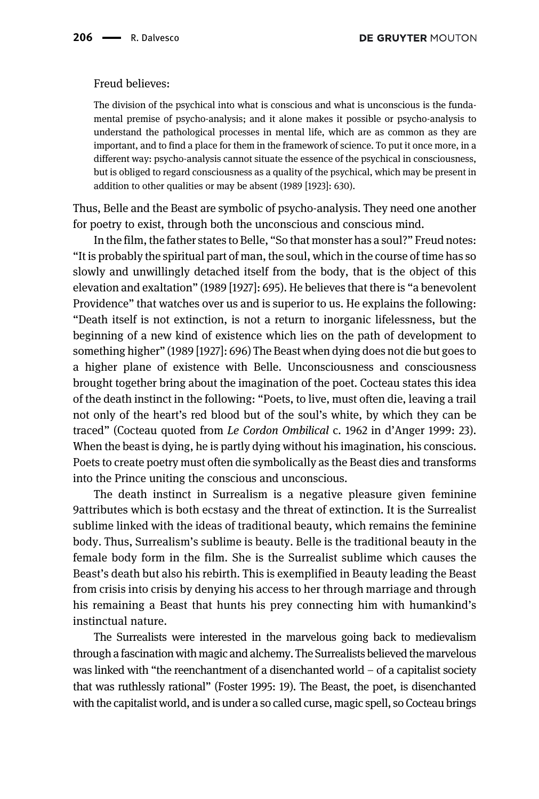## Freud believes:

The division of the psychical into what is conscious and what is unconscious is the fundamental premise of psycho-analysis; and it alone makes it possible or psycho-analysis to understand the pathological processes in mental life, which are as common as they are important, and to find a place for them in the framework of science. To put it once more, in a different way: psycho-analysis cannot situate the essence of the psychical in consciousness, but is obliged to regard consciousness as a quality of the psychical, which may be present in addition to other qualities or may be absent ([1989 \[1923\]:](#page-10-2) 630).

Thus, Belle and the Beast are symbolic of psycho-analysis. They need one another for poetry to exist, through both the unconscious and conscious mind.

In the film, the father states to Belle, "So that monster has a soul?" Freud notes: "It is probably the spiritual part of man, the soul, which in the course of time has so slowly and unwillingly detached itself from the body, that is the object of this elevation and exaltation" [\(1989 \[1927\]](#page-10-12): 695). He believes that there is "a benevolent Providence" that watches over us and is superior to us. He explains the following: "Death itself is not extinction, is not a return to inorganic lifelessness, but the beginning of a new kind of existence which lies on the path of development to something higher" [\(1989 \[1927\]](#page-10-12): 696) The Beast when dying does not die but goes to a higher plane of existence with Belle. Unconsciousness and consciousness brought together bring about the imagination of the poet. Cocteau states this idea of the death instinct in the following: "Poets, to live, must often die, leaving a trail not only of the heart's red blood but of the soul's white, by which they can be traced" (Cocteau quoted from Le Cordon Ombilical c. 1962 in d'[Anger 1999:](#page-10-13) 23). When the beast is dying, he is partly dying without his imagination, his conscious. Poets to create poetry must often die symbolically as the Beast dies and transforms into the Prince uniting the conscious and unconscious.

The death instinct in Surrealism is a negative pleasure given feminine 9attributes which is both ecstasy and the threat of extinction. It is the Surrealist sublime linked with the ideas of traditional beauty, which remains the feminine body. Thus, Surrealism's sublime is beauty. Belle is the traditional beauty in the female body form in the film. She is the Surrealist sublime which causes the Beast's death but also his rebirth. This is exemplified in Beauty leading the Beast from crisis into crisis by denying his access to her through marriage and through his remaining a Beast that hunts his prey connecting him with humankind's instinctual nature.

The Surrealists were interested in the marvelous going back to medievalism through a fascination with magic and alchemy. The Surrealists believed the marvelous was linked with "the reenchantment of a disenchanted world – of a capitalist society that was ruthlessly rational" ([Foster 1995:](#page-10-14) 19). The Beast, the poet, is disenchanted with the capitalist world, and is under a so called curse, magic spell, so Cocteau brings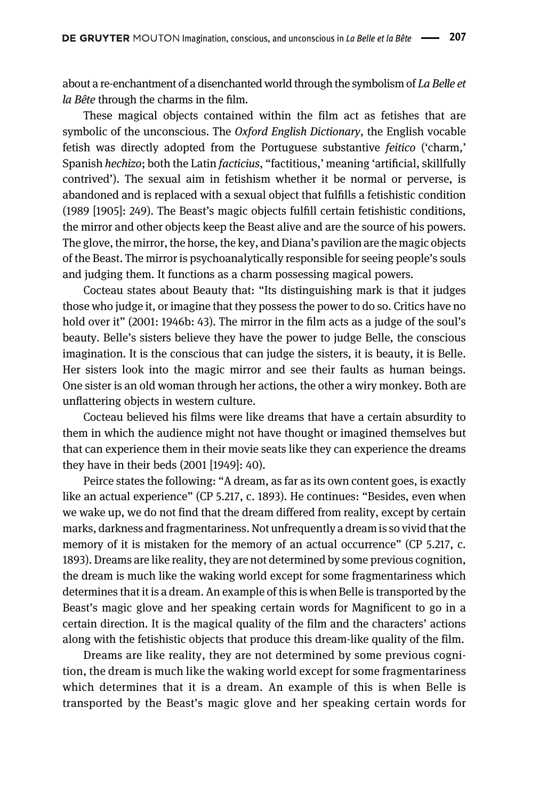about a re-enchantment of a disenchanted world through the symbolism of La Belle et la Bête through the charms in the film.

These magical objects contained within the film act as fetishes that are symbolic of the unconscious. The *Oxford English Dictionary*, the English vocable fetish was directly adopted from the Portuguese substantive feitico ('charm,' Spanish hechizo; both the Latin facticius, "factitious,' meaning 'artificial, skillfully contrived'). The sexual aim in fetishism whether it be normal or perverse, is abandoned and is replaced with a sexual object that fulfills a fetishistic condition [\(1989 \[1905\]:](#page-10-15) 249). The Beast's magic objects fulfill certain fetishistic conditions, the mirror and other objects keep the Beast alive and are the source of his powers. The glove, the mirror, the horse, the key, and Diana's pavilion are the magic objects of the Beast. The mirror is psychoanalytically responsible for seeing people's souls and judging them. It functions as a charm possessing magical powers.

Cocteau states about Beauty that: "Its distinguishing mark is that it judges those who judge it, or imagine that they possess the power to do so. Critics have no hold over it" ([2001: 1946b:](#page-10-16) 43). The mirror in the film acts as a judge of the soul's beauty. Belle's sisters believe they have the power to judge Belle, the conscious imagination. It is the conscious that can judge the sisters, it is beauty, it is Belle. Her sisters look into the magic mirror and see their faults as human beings. One sister is an old woman through her actions, the other a wiry monkey. Both are unflattering objects in western culture.

Cocteau believed his films were like dreams that have a certain absurdity to them in which the audience might not have thought or imagined themselves but that can experience them in their movie seats like they can experience the dreams they have in their beds ([2001 \[1949\]](#page-10-17): 40).

Peirce states the following: "A dream, as far as its own content goes, is exactly like an actual experience" (CP 5.217, c. 1893). He continues: "Besides, even when we wake up, we do not find that the dream differed from reality, except by certain marks, darkness and fragmentariness. Not unfrequently a dream is so vivid that the memory of it is mistaken for the memory of an actual occurrence" (CP 5.217, c. 1893). Dreams are like reality, they are not determined by some previous cognition, the dream is much like the waking world except for some fragmentariness which determines that it is a dream. An example of this is when Belle is transported by the Beast's magic glove and her speaking certain words for Magnificent to go in a certain direction. It is the magical quality of the film and the characters' actions along with the fetishistic objects that produce this dream-like quality of the film.

Dreams are like reality, they are not determined by some previous cognition, the dream is much like the waking world except for some fragmentariness which determines that it is a dream. An example of this is when Belle is transported by the Beast's magic glove and her speaking certain words for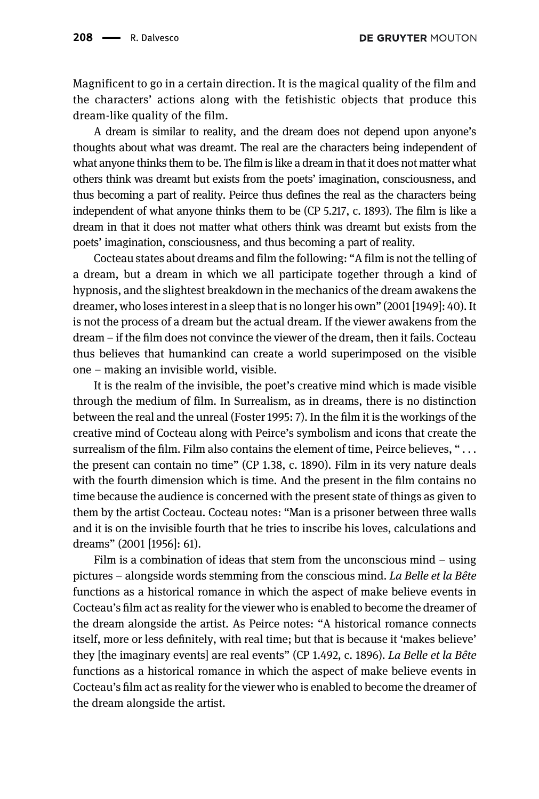Magnificent to go in a certain direction. It is the magical quality of the film and the characters' actions along with the fetishistic objects that produce this dream-like quality of the film.

A dream is similar to reality, and the dream does not depend upon anyone's thoughts about what was dreamt. The real are the characters being independent of what anyone thinks them to be. The film is like a dream in that it does not matter what others think was dreamt but exists from the poets' imagination, consciousness, and thus becoming a part of reality. Peirce thus defines the real as the characters being independent of what anyone thinks them to be (CP 5.217, c. 1893). The film is like a dream in that it does not matter what others think was dreamt but exists from the poets' imagination, consciousness, and thus becoming a part of reality.

Cocteau states about dreams and film the following: "A film is not the telling of a dream, but a dream in which we all participate together through a kind of hypnosis, and the slightest breakdown in the mechanics of the dream awakens the dreamer, who loses interest in a sleep that is no longer his own" ([2001 \[1949\]](#page-10-17): 40). It is not the process of a dream but the actual dream. If the viewer awakens from the dream – if the film does not convince the viewer of the dream, then it fails. Cocteau thus believes that humankind can create a world superimposed on the visible one – making an invisible world, visible.

It is the realm of the invisible, the poet's creative mind which is made visible through the medium of film. In Surrealism, as in dreams, there is no distinction between the real and the unreal [\(Foster 1995](#page-10-14): 7). In the film it is the workings of the creative mind of Cocteau along with Peirce's symbolism and icons that create the surrealism of the film. Film also contains the element of time, Peirce believes, " $\dots$ the present can contain no time" (CP 1.38, c. 1890). Film in its very nature deals with the fourth dimension which is time. And the present in the film contains no time because the audience is concerned with the present state of things as given to them by the artist Cocteau. Cocteau notes: "Man is a prisoner between three walls and it is on the invisible fourth that he tries to inscribe his loves, calculations and dreams" [\(2001 \[1956\]](#page-10-18): 61).

Film is a combination of ideas that stem from the unconscious mind – using pictures – alongside words stemming from the conscious mind. La Belle et la Bête functions as a historical romance in which the aspect of make believe events in Cocteau's film act as reality for the viewer who is enabled to become the dreamer of the dream alongside the artist. As Peirce notes: "A historical romance connects itself, more or less definitely, with real time; but that is because it 'makes believe' they [the imaginary events] are real events" (CP 1.492, c. 1896). La Belle et la Bête functions as a historical romance in which the aspect of make believe events in Cocteau's film act as reality for the viewer who is enabled to become the dreamer of the dream alongside the artist.